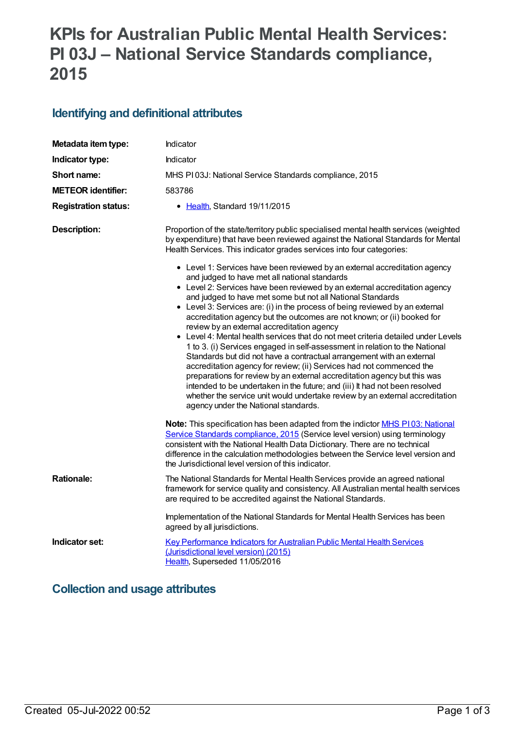# **KPIs for Australian Public Mental Health Services: PI 03J – National Service Standards compliance, 2015**

## **Identifying and definitional attributes**

| Metadata item type:         | Indicator                                                                                                                                                                                                                                                                                                                                                                                                                                                                                                                                                                                                                                                                                                                                                                                                                                                                                                                                                                                                                                                                                                                                                                                                                                                                                                                                       |
|-----------------------------|-------------------------------------------------------------------------------------------------------------------------------------------------------------------------------------------------------------------------------------------------------------------------------------------------------------------------------------------------------------------------------------------------------------------------------------------------------------------------------------------------------------------------------------------------------------------------------------------------------------------------------------------------------------------------------------------------------------------------------------------------------------------------------------------------------------------------------------------------------------------------------------------------------------------------------------------------------------------------------------------------------------------------------------------------------------------------------------------------------------------------------------------------------------------------------------------------------------------------------------------------------------------------------------------------------------------------------------------------|
| Indicator type:             | <b>Indicator</b>                                                                                                                                                                                                                                                                                                                                                                                                                                                                                                                                                                                                                                                                                                                                                                                                                                                                                                                                                                                                                                                                                                                                                                                                                                                                                                                                |
| Short name:                 | MHS PI03J: National Service Standards compliance, 2015                                                                                                                                                                                                                                                                                                                                                                                                                                                                                                                                                                                                                                                                                                                                                                                                                                                                                                                                                                                                                                                                                                                                                                                                                                                                                          |
| <b>METEOR</b> identifier:   | 583786                                                                                                                                                                                                                                                                                                                                                                                                                                                                                                                                                                                                                                                                                                                                                                                                                                                                                                                                                                                                                                                                                                                                                                                                                                                                                                                                          |
| <b>Registration status:</b> | • Health, Standard 19/11/2015                                                                                                                                                                                                                                                                                                                                                                                                                                                                                                                                                                                                                                                                                                                                                                                                                                                                                                                                                                                                                                                                                                                                                                                                                                                                                                                   |
| <b>Description:</b>         | Proportion of the state/territory public specialised mental health services (weighted<br>by expenditure) that have been reviewed against the National Standards for Mental<br>Health Services. This indicator grades services into four categories:<br>• Level 1: Services have been reviewed by an external accreditation agency<br>and judged to have met all national standards<br>• Level 2: Services have been reviewed by an external accreditation agency<br>and judged to have met some but not all National Standards<br>• Level 3: Services are: (i) in the process of being reviewed by an external<br>accreditation agency but the outcomes are not known; or (ii) booked for<br>review by an external accreditation agency<br>• Level 4: Mental health services that do not meet criteria detailed under Levels<br>1 to 3. (i) Services engaged in self-assessment in relation to the National<br>Standards but did not have a contractual arrangement with an external<br>accreditation agency for review; (ii) Services had not commenced the<br>preparations for review by an external accreditation agency but this was<br>intended to be undertaken in the future; and (iii) It had not been resolved<br>whether the service unit would undertake review by an external accreditation<br>agency under the National standards. |
|                             | Note: This specification has been adapted from the indictor <b>MHS P103</b> : National<br>Service Standards compliance, 2015 (Service level version) using terminology<br>consistent with the National Health Data Dictionary. There are no technical<br>difference in the calculation methodologies between the Service level version and<br>the Jurisdictional level version of this indicator.                                                                                                                                                                                                                                                                                                                                                                                                                                                                                                                                                                                                                                                                                                                                                                                                                                                                                                                                               |
| <b>Rationale:</b>           | The National Standards for Mental Health Services provide an agreed national<br>framework for service quality and consistency. All Australian mental health services<br>are required to be accredited against the National Standards.                                                                                                                                                                                                                                                                                                                                                                                                                                                                                                                                                                                                                                                                                                                                                                                                                                                                                                                                                                                                                                                                                                           |
|                             | Implementation of the National Standards for Mental Health Services has been<br>agreed by all jurisdictions.                                                                                                                                                                                                                                                                                                                                                                                                                                                                                                                                                                                                                                                                                                                                                                                                                                                                                                                                                                                                                                                                                                                                                                                                                                    |
| Indicator set:              | Key Performance Indicators for Australian Public Mental Health Services<br>(Jurisdictional level version) (2015)<br>Health, Superseded 11/05/2016                                                                                                                                                                                                                                                                                                                                                                                                                                                                                                                                                                                                                                                                                                                                                                                                                                                                                                                                                                                                                                                                                                                                                                                               |

# **Collection and usage attributes**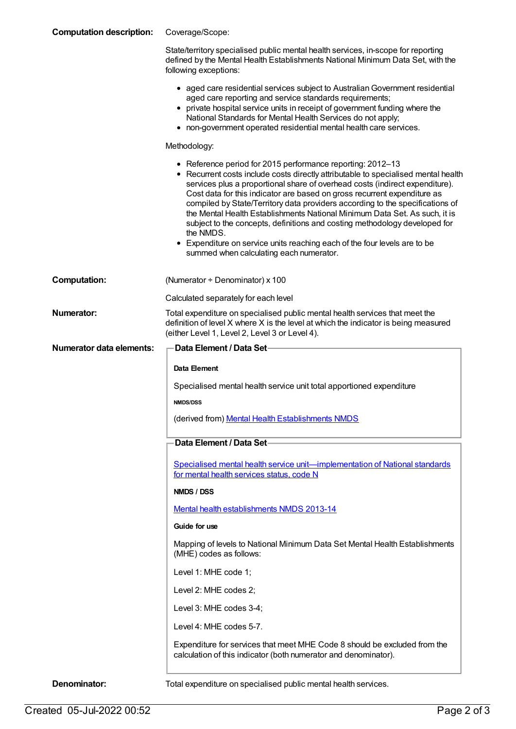| <b>Computation description:</b> | Coverage/Scope:                                                                                                                                                                                                                                                                                                                                                                                                                                                                                                                                                        |
|---------------------------------|------------------------------------------------------------------------------------------------------------------------------------------------------------------------------------------------------------------------------------------------------------------------------------------------------------------------------------------------------------------------------------------------------------------------------------------------------------------------------------------------------------------------------------------------------------------------|
|                                 | State/territory specialised public mental health services, in-scope for reporting<br>defined by the Mental Health Establishments National Minimum Data Set, with the<br>following exceptions:                                                                                                                                                                                                                                                                                                                                                                          |
|                                 | • aged care residential services subject to Australian Government residential<br>aged care reporting and service standards requirements;<br>• private hospital service units in receipt of government funding where the<br>National Standards for Mental Health Services do not apply;<br>• non-government operated residential mental health care services.                                                                                                                                                                                                           |
|                                 | Methodology:                                                                                                                                                                                                                                                                                                                                                                                                                                                                                                                                                           |
|                                 | • Reference period for 2015 performance reporting: 2012-13<br>• Recurrent costs include costs directly attributable to specialised mental health<br>services plus a proportional share of overhead costs (indirect expenditure).<br>Cost data for this indicator are based on gross recurrent expenditure as<br>compiled by State/Territory data providers according to the specifications of<br>the Mental Health Establishments National Minimum Data Set. As such, it is<br>subject to the concepts, definitions and costing methodology developed for<br>the NMDS. |
|                                 | • Expenditure on service units reaching each of the four levels are to be<br>summed when calculating each numerator.                                                                                                                                                                                                                                                                                                                                                                                                                                                   |
| <b>Computation:</b>             | (Numerator $\div$ Denominator) x 100                                                                                                                                                                                                                                                                                                                                                                                                                                                                                                                                   |
|                                 | Calculated separately for each level                                                                                                                                                                                                                                                                                                                                                                                                                                                                                                                                   |
| <b>Numerator:</b>               | Total expenditure on specialised public mental health services that meet the<br>definition of level X where X is the level at which the indicator is being measured<br>(either Level 1, Level 2, Level 3 or Level 4).                                                                                                                                                                                                                                                                                                                                                  |
| <b>Numerator data elements:</b> | <b>Data Element / Data Set-</b>                                                                                                                                                                                                                                                                                                                                                                                                                                                                                                                                        |
|                                 |                                                                                                                                                                                                                                                                                                                                                                                                                                                                                                                                                                        |
|                                 | Data Element                                                                                                                                                                                                                                                                                                                                                                                                                                                                                                                                                           |
|                                 | Specialised mental health service unit total apportioned expenditure                                                                                                                                                                                                                                                                                                                                                                                                                                                                                                   |
|                                 | <b>NMDS/DSS</b>                                                                                                                                                                                                                                                                                                                                                                                                                                                                                                                                                        |
|                                 | (derived from) Mental Health Establishments NMDS                                                                                                                                                                                                                                                                                                                                                                                                                                                                                                                       |
|                                 | Data Element / Data Set                                                                                                                                                                                                                                                                                                                                                                                                                                                                                                                                                |
|                                 | Specialised mental health service unit-implementation of National standards<br>for mental health services status, code N                                                                                                                                                                                                                                                                                                                                                                                                                                               |
|                                 | NMDS / DSS                                                                                                                                                                                                                                                                                                                                                                                                                                                                                                                                                             |
|                                 | Mental health establishments NMDS 2013-14                                                                                                                                                                                                                                                                                                                                                                                                                                                                                                                              |
|                                 | Guide for use                                                                                                                                                                                                                                                                                                                                                                                                                                                                                                                                                          |
|                                 | Mapping of levels to National Minimum Data Set Mental Health Establishments<br>(MHE) codes as follows:                                                                                                                                                                                                                                                                                                                                                                                                                                                                 |
|                                 | Level 1: MHE code 1;                                                                                                                                                                                                                                                                                                                                                                                                                                                                                                                                                   |
|                                 | Level 2: MHE codes 2;                                                                                                                                                                                                                                                                                                                                                                                                                                                                                                                                                  |
|                                 | Level 3: MHE codes 3-4;                                                                                                                                                                                                                                                                                                                                                                                                                                                                                                                                                |
|                                 | Level 4: MHE codes 5-7.                                                                                                                                                                                                                                                                                                                                                                                                                                                                                                                                                |
|                                 | Expenditure for services that meet MHE Code 8 should be excluded from the<br>calculation of this indicator (both numerator and denominator).                                                                                                                                                                                                                                                                                                                                                                                                                           |